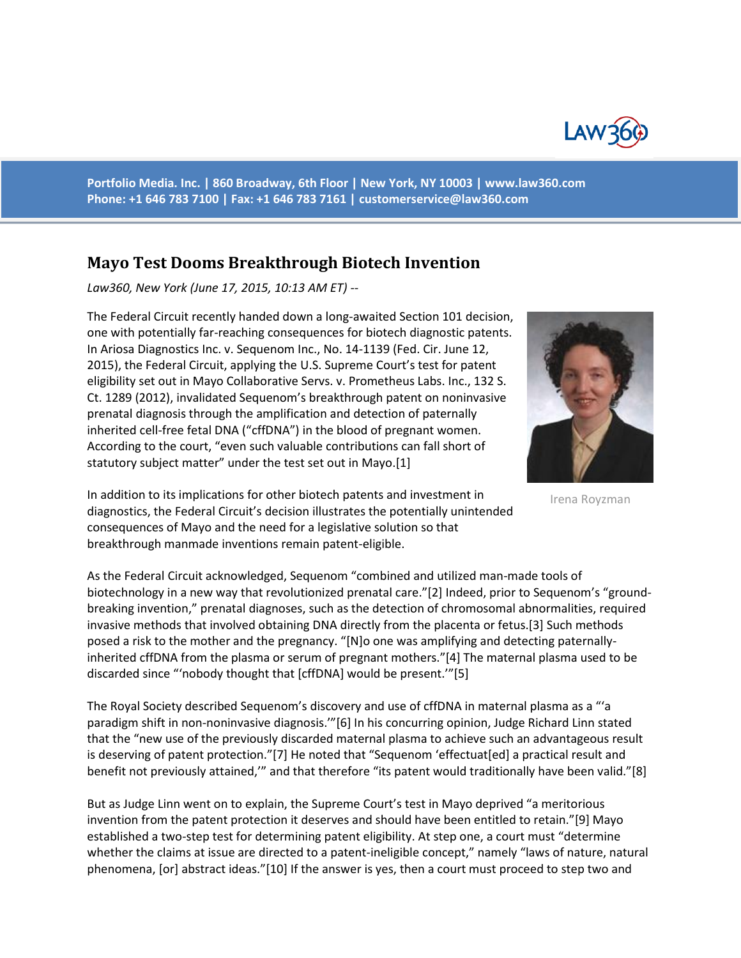

**Portfolio Media. Inc. | 860 Broadway, 6th Floor | New York, NY 10003 | www.law360.com Phone: +1 646 783 7100 | Fax: +1 646 783 7161 | [customerservice@law360.com](mailto:customerservice@law360.com)**

## **Mayo Test Dooms Breakthrough Biotech Invention**

*Law360, New York (June 17, 2015, 10:13 AM ET) --*

The Federal Circuit recently handed down a long-awaited Section 101 decision, one with potentially far-reaching consequences for biotech diagnostic patents. In Ariosa Diagnostics Inc. v. Sequenom Inc., No. 14-1139 (Fed. Cir. June 12, 2015), the Federal Circuit, applying the U.S. Supreme Court's test for patent eligibility set out in Mayo Collaborative Servs. v. Prometheus Labs. Inc., 132 S. Ct. 1289 (2012), invalidated Sequenom's breakthrough patent on noninvasive prenatal diagnosis through the amplification and detection of paternally inherited cell-free fetal DNA ("cffDNA") in the blood of pregnant women. According to the court, "even such valuable contributions can fall short of statutory subject matter" under the test set out in Mayo.[1]



Irena Royzman

In addition to its implications for other biotech patents and investment in diagnostics, the Federal Circuit's decision illustrates the potentially unintended consequences of Mayo and the need for a legislative solution so that breakthrough manmade inventions remain patent-eligible.

As the Federal Circuit acknowledged, Sequenom "combined and utilized man-made tools of biotechnology in a new way that revolutionized prenatal care."[2] Indeed, prior to Sequenom's "groundbreaking invention," prenatal diagnoses, such as the detection of chromosomal abnormalities, required invasive methods that involved obtaining DNA directly from the placenta or fetus.[3] Such methods posed a risk to the mother and the pregnancy. "[N]o one was amplifying and detecting paternallyinherited cffDNA from the plasma or serum of pregnant mothers."[4] The maternal plasma used to be discarded since "'nobody thought that [cffDNA] would be present.'"[5]

The Royal Society described Sequenom's discovery and use of cffDNA in maternal plasma as a "'a paradigm shift in non-noninvasive diagnosis.'"[6] In his concurring opinion, Judge Richard Linn stated that the "new use of the previously discarded maternal plasma to achieve such an advantageous result is deserving of patent protection."[7] He noted that "Sequenom 'effectuat[ed] a practical result and benefit not previously attained,'" and that therefore "its patent would traditionally have been valid."[8]

But as Judge Linn went on to explain, the Supreme Court's test in Mayo deprived "a meritorious invention from the patent protection it deserves and should have been entitled to retain."[9] Mayo established a two-step test for determining patent eligibility. At step one, a court must "determine whether the claims at issue are directed to a patent-ineligible concept," namely "laws of nature, natural phenomena, [or] abstract ideas."[10] If the answer is yes, then a court must proceed to step two and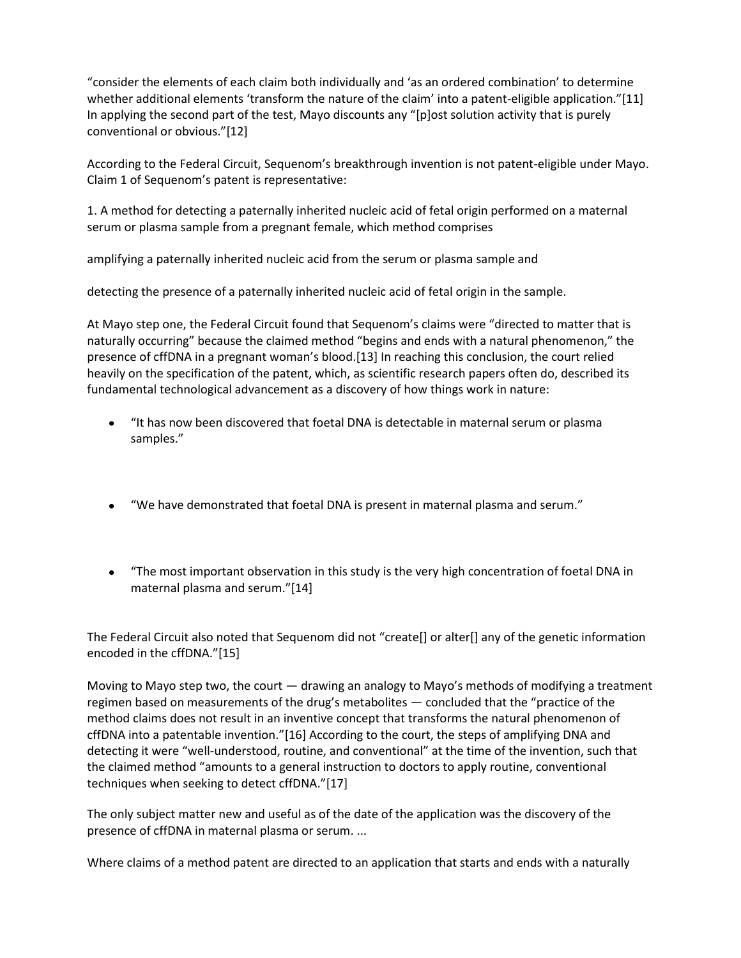"consider the elements of each claim both individually and 'as an ordered combination' to determine whether additional elements 'transform the nature of the claim' into a patent-eligible application."[11] In applying the second part of the test, Mayo discounts any "[p]ost solution activity that is purely conventional or obvious."[12]

According to the Federal Circuit, Sequenom's breakthrough invention is not patent-eligible under Mayo. Claim 1 of Sequenom's patent is representative:

1. A method for detecting a paternally inherited nucleic acid of fetal origin performed on a maternal serum or plasma sample from a pregnant female, which method comprises

amplifying a paternally inherited nucleic acid from the serum or plasma sample and

detecting the presence of a paternally inherited nucleic acid of fetal origin in the sample.

At Mayo step one, the Federal Circuit found that Sequenom's claims were "directed to matter that is naturally occurring" because the claimed method "begins and ends with a natural phenomenon," the presence of cffDNA in a pregnant woman's blood.[13] In reaching this conclusion, the court relied heavily on the specification of the patent, which, as scientific research papers often do, described its fundamental technological advancement as a discovery of how things work in nature:

- "It has now been discovered that foetal DNA is detectable in maternal serum or plasma samples."
- "We have demonstrated that foetal DNA is present in maternal plasma and serum."
- "The most important observation in this study is the very high concentration of foetal DNA in maternal plasma and serum."[14]

The Federal Circuit also noted that Sequenom did not "create[] or alter[] any of the genetic information encoded in the cffDNA."[15]

Moving to Mayo step two, the court — drawing an analogy to Mayo's methods of modifying a treatment regimen based on measurements of the drug's metabolites — concluded that the "practice of the method claims does not result in an inventive concept that transforms the natural phenomenon of cffDNA into a patentable invention."[16] According to the court, the steps of amplifying DNA and detecting it were "well-understood, routine, and conventional" at the time of the invention, such that the claimed method "amounts to a general instruction to doctors to apply routine, conventional techniques when seeking to detect cffDNA."[17]

The only subject matter new and useful as of the date of the application was the discovery of the presence of cffDNA in maternal plasma or serum. ...

Where claims of a method patent are directed to an application that starts and ends with a naturally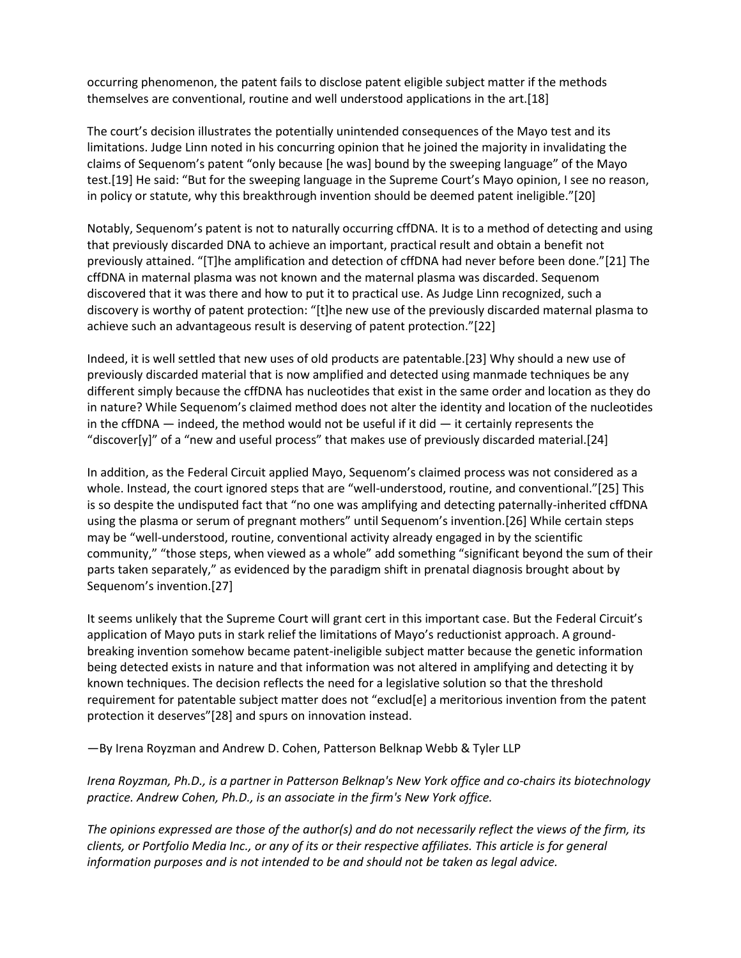occurring phenomenon, the patent fails to disclose patent eligible subject matter if the methods themselves are conventional, routine and well understood applications in the art.[18]

The court's decision illustrates the potentially unintended consequences of the Mayo test and its limitations. Judge Linn noted in his concurring opinion that he joined the majority in invalidating the claims of Sequenom's patent "only because [he was] bound by the sweeping language" of the Mayo test.[19] He said: "But for the sweeping language in the Supreme Court's Mayo opinion, I see no reason, in policy or statute, why this breakthrough invention should be deemed patent ineligible."[20]

Notably, Sequenom's patent is not to naturally occurring cffDNA. It is to a method of detecting and using that previously discarded DNA to achieve an important, practical result and obtain a benefit not previously attained. "[T]he amplification and detection of cffDNA had never before been done."[21] The cffDNA in maternal plasma was not known and the maternal plasma was discarded. Sequenom discovered that it was there and how to put it to practical use. As Judge Linn recognized, such a discovery is worthy of patent protection: "[t]he new use of the previously discarded maternal plasma to achieve such an advantageous result is deserving of patent protection."[22]

Indeed, it is well settled that new uses of old products are patentable.[23] Why should a new use of previously discarded material that is now amplified and detected using manmade techniques be any different simply because the cffDNA has nucleotides that exist in the same order and location as they do in nature? While Sequenom's claimed method does not alter the identity and location of the nucleotides in the cffDNA  $-$  indeed, the method would not be useful if it did  $-$  it certainly represents the "discover[y]" of a "new and useful process" that makes use of previously discarded material.[24]

In addition, as the Federal Circuit applied Mayo, Sequenom's claimed process was not considered as a whole. Instead, the court ignored steps that are "well-understood, routine, and conventional."[25] This is so despite the undisputed fact that "no one was amplifying and detecting paternally-inherited cffDNA using the plasma or serum of pregnant mothers" until Sequenom's invention.[26] While certain steps may be "well-understood, routine, conventional activity already engaged in by the scientific community," "those steps, when viewed as a whole" add something "significant beyond the sum of their parts taken separately," as evidenced by the paradigm shift in prenatal diagnosis brought about by Sequenom's invention.[27]

It seems unlikely that the Supreme Court will grant cert in this important case. But the Federal Circuit's application of Mayo puts in stark relief the limitations of Mayo's reductionist approach. A groundbreaking invention somehow became patent-ineligible subject matter because the genetic information being detected exists in nature and that information was not altered in amplifying and detecting it by known techniques. The decision reflects the need for a legislative solution so that the threshold requirement for patentable subject matter does not "exclud[e] a meritorious invention from the patent protection it deserves"[28] and spurs on innovation instead.

—By Irena Royzman and Andrew D. Cohen, Patterson Belknap Webb & Tyler LLP

*Irena Royzman, Ph.D., is a partner in Patterson Belknap's New York office and co-chairs its biotechnology practice. Andrew Cohen, Ph.D., is an associate in the firm's New York office.*

*The opinions expressed are those of the author(s) and do not necessarily reflect the views of the firm, its clients, or Portfolio Media Inc., or any of its or their respective affiliates. This article is for general information purposes and is not intended to be and should not be taken as legal advice.*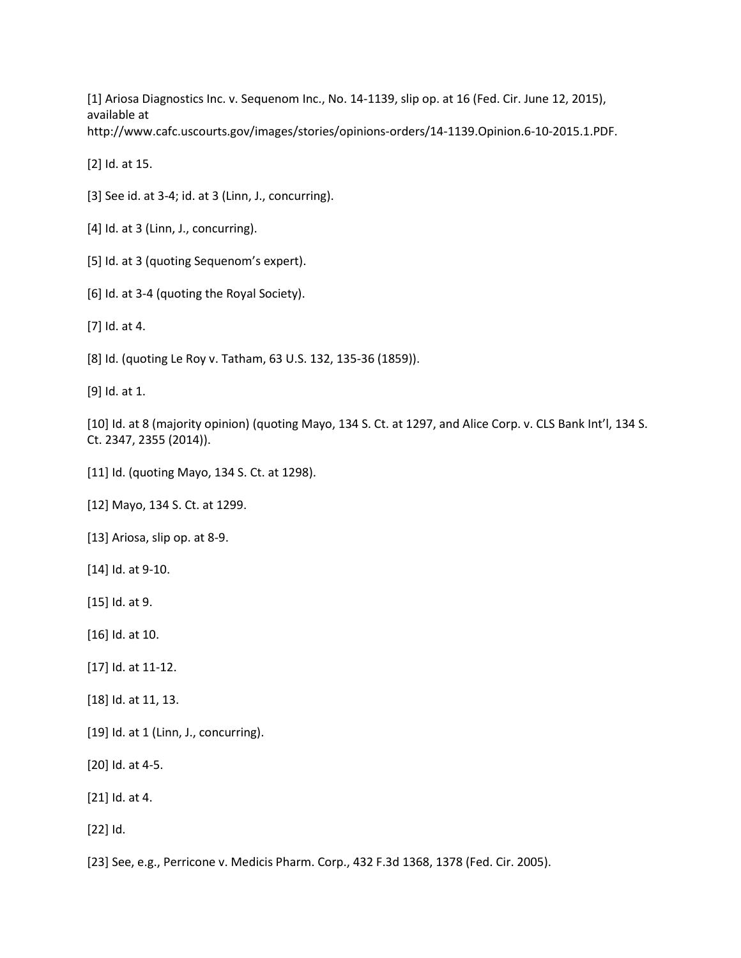[1] Ariosa Diagnostics Inc. v. Sequenom Inc., No. 14-1139, slip op. at 16 (Fed. Cir. June 12, 2015), available at http://www.cafc.uscourts.gov/images/stories/opinions-orders/14-1139.Opinion.6-10-2015.1.PDF.

[2] Id. at 15.

[3] See id. at 3-4; id. at 3 (Linn, J., concurring).

[4] Id. at 3 (Linn, J., concurring).

[5] Id. at 3 (quoting Sequenom's expert).

[6] Id. at 3-4 (quoting the Royal Society).

[7] Id. at 4.

[8] Id. (quoting Le Roy v. Tatham, 63 U.S. 132, 135-36 (1859)).

[9] Id. at 1.

[10] Id. at 8 (majority opinion) (quoting Mayo, 134 S. Ct. at 1297, and Alice Corp. v. CLS Bank Int'l, 134 S. Ct. 2347, 2355 (2014)).

[11] Id. (quoting Mayo, 134 S. Ct. at 1298).

[12] Mayo, 134 S. Ct. at 1299.

[13] Ariosa, slip op. at 8-9.

[14] Id. at 9-10.

[15] Id. at 9.

[16] Id. at 10.

[17] Id. at 11-12.

[18] Id. at 11, 13.

[19] Id. at 1 (Linn, J., concurring).

[20] Id. at 4-5.

[21] Id. at 4.

[22] Id.

[23] See, e.g., Perricone v. Medicis Pharm. Corp., 432 F.3d 1368, 1378 (Fed. Cir. 2005).